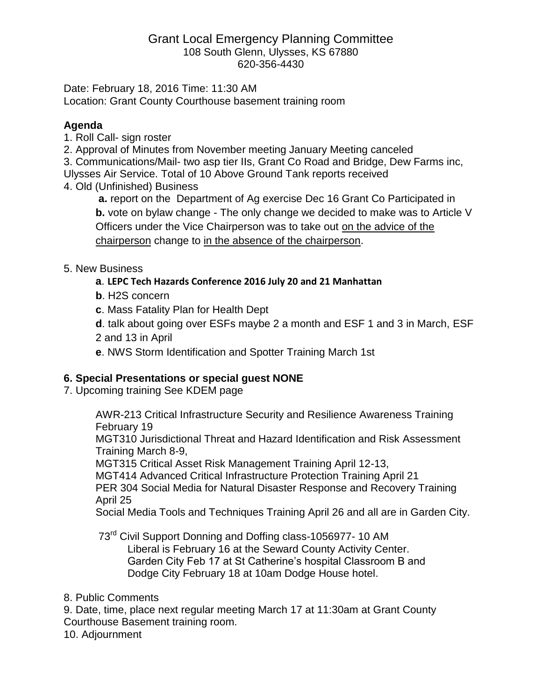#### Grant Local Emergency Planning Committee 108 South Glenn, Ulysses, KS 67880 620-356-4430

Date: February 18, 2016 Time: 11:30 AM Location: Grant County Courthouse basement training room

#### **Agenda**

1. Roll Call- sign roster

2. Approval of Minutes from November meeting January Meeting canceled

3. Communications/Mail- two asp tier IIs, Grant Co Road and Bridge, Dew Farms inc,

Ulysses Air Service. Total of 10 Above Ground Tank reports received

4. Old (Unfinished) Business

**a.** report on the Department of Ag exercise Dec 16 Grant Co Participated in **b.** vote on bylaw change - The only change we decided to make was to Article V Officers under the Vice Chairperson was to take out on the advice of the chairperson change to in the absence of the chairperson.

# 5. New Business

# **a**. **LEPC Tech Hazards Conference 2016 July 20 and 21 Manhattan**

- **b**. H2S concern
- **c**. Mass Fatality Plan for Health Dept
- **d**. talk about going over ESFs maybe 2 a month and ESF 1 and 3 in March, ESF
- 2 and 13 in April
- **e**. NWS Storm Identification and Spotter Training March 1st

# **6. Special Presentations or special guest NONE**

# 7. Upcoming training See KDEM page

AWR-213 Critical Infrastructure Security and Resilience Awareness Training February 19

MGT310 Jurisdictional Threat and Hazard Identification and Risk Assessment Training March 8-9,

MGT315 Critical Asset Risk Management Training April 12-13,

MGT414 Advanced Critical Infrastructure Protection Training April 21

PER 304 Social Media for Natural Disaster Response and Recovery Training April 25

Social Media Tools and Techniques Training April 26 and all are in Garden City.

73<sup>rd</sup> Civil Support Donning and Doffing class-1056977-10 AM

Liberal is February 16 at the Seward County Activity Center. Garden City Feb 17 at St Catherine's hospital Classroom B and Dodge City February 18 at 10am Dodge House hotel.

#### 8. Public Comments

9. Date, time, place next regular meeting March 17 at 11:30am at Grant County Courthouse Basement training room.

10. Adjournment